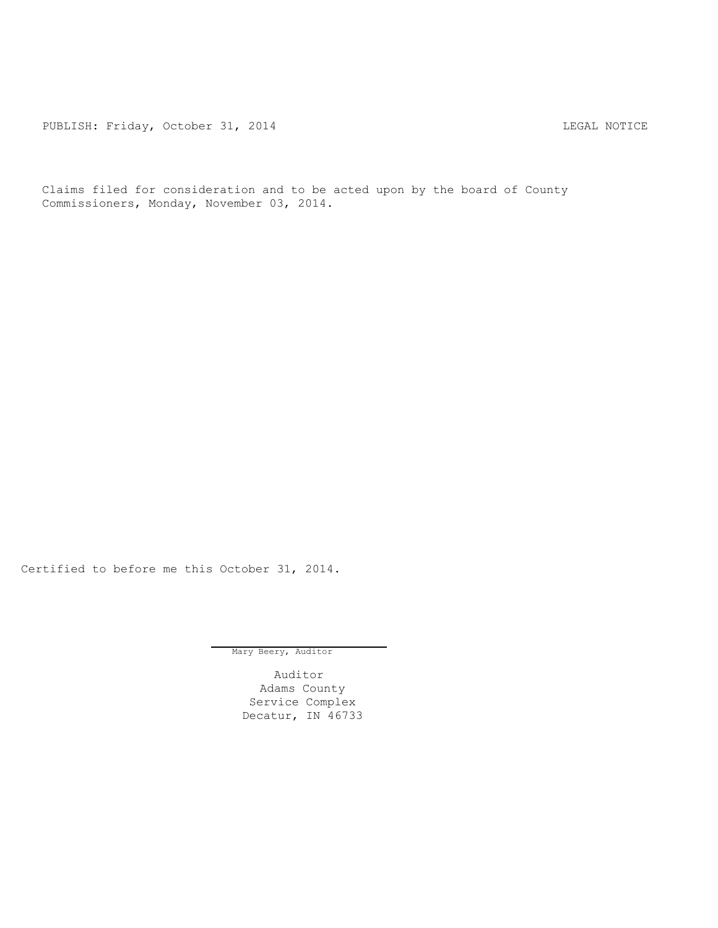PUBLISH: Friday, October 31, 2014 CHA CHANGE CONSTRUCTED AND THE LEGAL NOTICE

Claims filed for consideration and to be acted upon by the board of County Commissioners, Monday, November 03, 2014.

Certified to before me this October 31, 2014.

Mary Beery, Auditor

Auditor Adams County Service Complex Decatur, IN 46733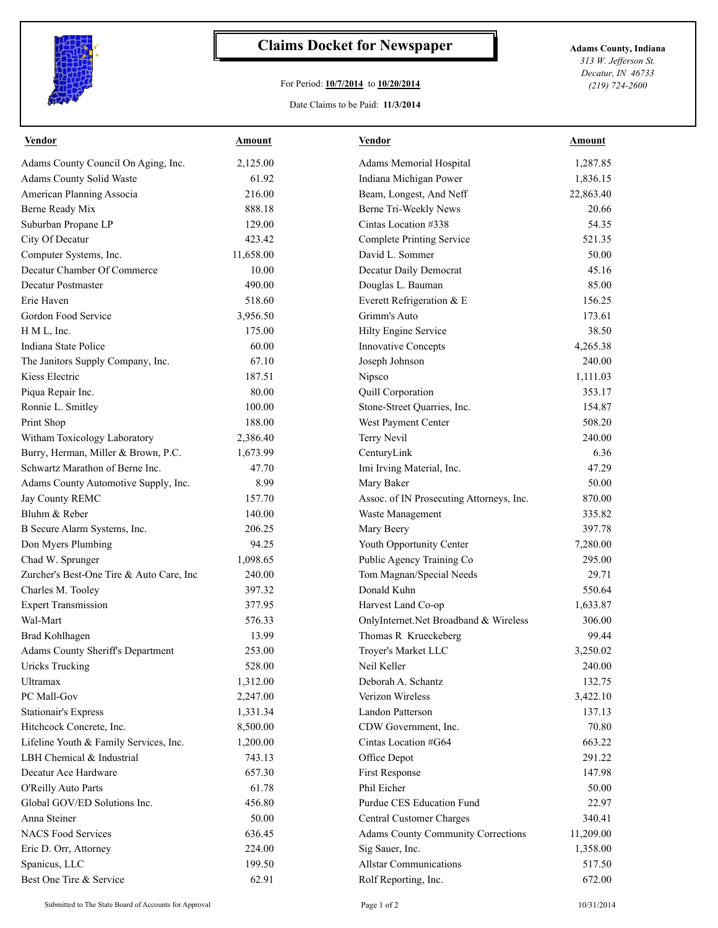

## **Claims Docket for Newspaper Adams County, Indiana**

## For Period: **10/7/2014** to **10/20/2014**

*313 W. Jefferson St. Decatur, IN 46733 (219) 724-2600*

## Date Claims to be Paid: **11/3/2014**

| <b>Vendor</b>                            | <u>Amount</u> | <b>Vendor</b>                             | <b>Amount</b> |
|------------------------------------------|---------------|-------------------------------------------|---------------|
| Adams County Council On Aging, Inc.      | 2,125.00      | Adams Memorial Hospital                   | 1,287.85      |
| Adams County Solid Waste                 | 61.92         | Indiana Michigan Power                    | 1,836.15      |
| American Planning Associa                | 216.00        | Beam, Longest, And Neff                   | 22,863.40     |
| Berne Ready Mix                          | 888.18        | Berne Tri-Weekly News                     | 20.66         |
| Suburban Propane LP                      | 129.00        | Cintas Location #338                      | 54.35         |
| City Of Decatur                          | 423.42        | Complete Printing Service                 | 521.35        |
| Computer Systems, Inc.                   | 11,658.00     | David L. Sommer                           | 50.00         |
| Decatur Chamber Of Commerce              | 10.00         | Decatur Daily Democrat                    | 45.16         |
| <b>Decatur Postmaster</b>                | 490.00        | Douglas L. Bauman                         | 85.00         |
| Erie Haven                               | 518.60        | Everett Refrigeration & E                 | 156.25        |
| Gordon Food Service                      | 3,956.50      | Grimm's Auto                              | 173.61        |
| H M L, Inc.                              | 175.00        | Hilty Engine Service                      | 38.50         |
| Indiana State Police                     | 60.00         | <b>Innovative Concepts</b>                | 4,265.38      |
| The Janitors Supply Company, Inc.        | 67.10         | Joseph Johnson                            | 240.00        |
| Kiess Electric                           | 187.51        | Nipsco                                    | 1,111.03      |
| Piqua Repair Inc.                        | 80.00         | Quill Corporation                         | 353.17        |
| Ronnie L. Smitley                        | 100.00        | Stone-Street Quarries, Inc.               | 154.87        |
| Print Shop                               | 188.00        | West Payment Center                       | 508.20        |
| Witham Toxicology Laboratory             | 2,386.40      | Terry Nevil                               | 240.00        |
| Burry, Herman, Miller & Brown, P.C.      | 1,673.99      | CenturyLink                               | 6.36          |
| Schwartz Marathon of Berne Inc.          | 47.70         | Imi Irving Material, Inc.                 | 47.29         |
| Adams County Automotive Supply, Inc.     | 8.99          | Mary Baker                                | 50.00         |
| Jay County REMC                          | 157.70        | Assoc. of IN Prosecuting Attorneys, Inc.  | 870.00        |
| Bluhm & Reber                            | 140.00        | Waste Management                          | 335.82        |
| B Secure Alarm Systems, Inc.             | 206.25        | Mary Beery                                | 397.78        |
| Don Myers Plumbing                       | 94.25         | Youth Opportunity Center                  | 7,280.00      |
| Chad W. Sprunger                         | 1,098.65      | Public Agency Training Co                 | 295.00        |
| Zurcher's Best-One Tire & Auto Care, Inc | 240.00        | Tom Magnan/Special Needs                  | 29.71         |
| Charles M. Tooley                        | 397.32        | Donald Kuhn                               | 550.64        |
| <b>Expert Transmission</b>               | 377.95        | Harvest Land Co-op                        | 1,633.87      |
| Wal-Mart                                 | 576.33        | OnlyInternet.Net Broadband & Wireless     | 306.00        |
| <b>Brad Kohlhagen</b>                    | 13.99         | Thomas R Krueckeberg                      | 99.44         |
| Adams County Sheriff's Department        | 253.00        | Troyer's Market LLC                       | 3,250.02      |
| Uricks Trucking                          | 528.00        | Neil Keller                               | 240.00        |
| Ultramax                                 | 1,312.00      | Deborah A. Schantz                        | 132.75        |
| PC Mall-Gov                              | 2,247.00      | Verizon Wireless                          | 3,422.10      |
| Stationair's Express                     | 1,331.34      | Landon Patterson                          | 137.13        |
| Hitchcock Concrete, Inc.                 | 8,500.00      | CDW Government, Inc.                      | 70.80         |
| Lifeline Youth & Family Services, Inc.   | 1,200.00      | Cintas Location #G64                      | 663.22        |
| LBH Chemical & Industrial                | 743.13        | Office Depot                              | 291.22        |
| Decatur Ace Hardware                     | 657.30        | First Response                            | 147.98        |
| O'Reilly Auto Parts                      | 61.78         | Phil Eicher                               | 50.00         |
| Global GOV/ED Solutions Inc.             | 456.80        | Purdue CES Education Fund                 | 22.97         |
| Anna Steiner                             | 50.00         | <b>Central Customer Charges</b>           | 340.41        |
| <b>NACS Food Services</b>                | 636.45        | <b>Adams County Community Corrections</b> | 11,209.00     |
| Eric D. Orr, Attorney                    | 224.00        | Sig Sauer, Inc.                           | 1,358.00      |
| Spanicus, LLC                            | 199.50        | <b>Allstar Communications</b>             | 517.50        |
| Best One Tire & Service                  | 62.91         | Rolf Reporting, Inc.                      | 672.00        |